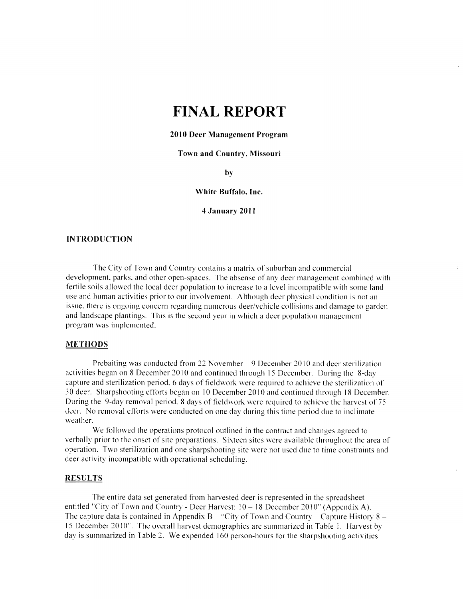# **FINAL REPORT**

### 2010 Deer Management Program

## Town and Country, Missouri

by

#### White Buffalo, Inc.

4 January 2011

#### **INTRODUCTION**

The City of Town and Country contains a matrix of suburban and commercial development, parks, and other open-spaces. The absense of any deer management combined with fertile soils allowed the local deer population to increase to a level incompatible with some land use and human activities prior to our involvement. Although deer physical condition is not an issue, there is ongoing concern regarding numerous deer/vehicle collisions and damage to garden and landscape plantings. This is the second year in which a deer population management program was implemented.

#### **METHODS**

Prebaiting was conducted from 22 November – 9 December 2010 and deer sterilization activities began on 8 December 2010 and continued through 15 December. During the 8-day capture and sterilization period, 6 days of fieldwork were required to achieve the sterilization of 30 deer. Sharpshooting efforts began on 10 December 2010 and continued through 18 December. During the 9-day removal period, 8 days of fieldwork were required to achieve the harvest of 75 deer. No removal efforts were conducted on one day during this time period due to inclimate weather.

We followed the operations protocol outlined in the contract and changes agreed to verbally prior to the onset of site preparations. Sixteen sites were available throughout the area of operation. Two sterilization and one sharpshooting site were not used due to time constraints and deer activity incompatible with operational scheduling.

## **RESULTS**

The entire data set generated from harvested deer is represented in the spreadsheet entitled "City of Town and Country - Deer Harvest:  $10 - 18$  December 2010" (Appendix A). The capture data is contained in Appendix  $B - C$ ity of Town and Country – Capture History 8 – 15 December 2010". The overall harvest demographics are summarized in Table 1. Harvest by day is summarized in Table 2. We expended 160 person-hours for the sharpshooting activities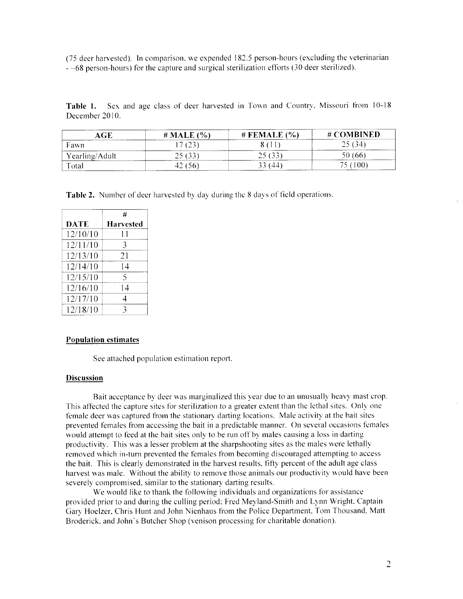(75 deer harvested). In comparison, we expended 182.5 person-hours (excluding the veterinarian  $-68$  person-hours) for the capture and surgical sterilization efforts (30 deer sterilized).

Table 1. Sex and age class of deer harvested in Town and Country, Missouri from 10-18 December 2010.

| AGE                 | (%)<br># <b>MALE</b>                        | $#$ FEMALE $(\% )$ | # COMBINED |
|---------------------|---------------------------------------------|--------------------|------------|
| Fawn                | (23)                                        |                    | 25(34)     |
| Yearling/Adult      | $\sim$ 2010/00 10:00 00:00<br>25.122<br>ب ب | 25(33)             |            |
| $T$ <sub>otal</sub> | $_{50}$                                     | . 44 '             |            |

Table 2. Number of deer harvested by day during the 8 days of field operations.

|          | #                |
|----------|------------------|
| DATE     | <b>Harvested</b> |
| 12/10/10 | 11               |
| 12/11/10 | 3                |
| 12/13/10 | 21               |
| 12/14/10 | 14               |
| 12/15/10 | 5                |
| 12/16/10 | 14               |
| 12/17/10 | 4                |
| 12/18/10 | ٦                |

## **Population estimates**

See attached population estimation report.

#### **Discussion**

Bait acceptance by deer was marginalized this year due to an unusually heavy mast crop. This affected the capture sites for sterilization to a greater extent than the lethal sites. Only one female deer was captured from the stationary darting locations. Male activity at the bait sites prevented females from accessing the bait in a predictable manner. On several occasions females would attempt to feed at the bait sites only to be run off by males causing a loss in darting productivity. This was a lesser problem at the sharpshooting sites as the males were lethally removed which in-turn prevented the females from becoming discouraged attempting to access the bait. This is clearly demonstrated in the harvest results, fifty percent of the adult age class harvest was male. Without the ability to remove those animals our productivity would have been severely compromised, similar to the stationary darting results.

We would like to thank the following individuals and organizations for assistance provided prior to and during the culling period: Fred Meyland-Smith and Lynn Wright, Captain Gary Hoelzer, Chris Hunt and John Nienhaus from the Police Department. Tom Thousand, Matt Broderick, and John's Butcher Shop (venison processing for charitable donation).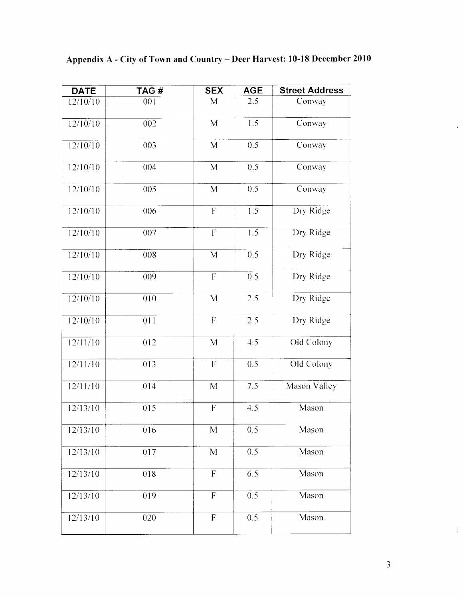| <b>DATE</b>          | TAG#             | <b>SEX</b>                | <b>AGE</b>       | <b>Street Address</b> |
|----------------------|------------------|---------------------------|------------------|-----------------------|
| $\frac{1}{2}$ /10/10 | 001              | M                         | 2.5              | Conway                |
| 12/10/10             | 002              | M                         | 1.5              | Conway                |
| 12/10/10             | 003              | $\overline{M}$            | 0.5              | Conway                |
| 12/10/10             | 004              | M                         | 0.5              | Conway                |
| 12/10/10             | 005              | $\mathbf{M}$              | 0.5              | Conway                |
| 12/10/10             | 006              | $\overline{F}$            | 1.5              | Dry Ridge             |
| 12/10/10             | 007              | $\overline{F}$            | 1.5              | Dry Ridge             |
| 12/10/10             | 008              | $\mathbf{M}$              | 0.5              | Dry Ridge             |
| 12/10/10             | 009              | $\mathbf F$               | 0.5              | Dry Ridge             |
| 12/10/10             | 010              | $\overline{M}$            | 2.5              | Dry Ridge             |
| 12/10/10             | 011              | $\overline{\mathrm{F}}$   | 2.5              | Dry Ridge             |
| 12/11/10             | 012              | M                         | 4.5              | Old Colony            |
| 12/11/10             | $\overline{013}$ | $\overline{F}$            | $\overline{0.5}$ | Old Colony            |
| 12/11/10             | 014              | M                         | 7.5              | Mason Valley          |
| 12/13/10             | 015              | $\overline{\mathrm{F}}$   | 4.5              | Mason                 |
| 12/13/10             | 016              | M                         | 0.5              | Mason                 |
| 12/13/10             | 017              | M                         | 0.5              | Mason                 |
| 12/13/10             | 018              | $\boldsymbol{\mathsf{F}}$ | 6.5              | Mason                 |
| 12/13/10             | 019              | $\overline{F}$            | 0.5              | Mason                 |
| 12/13/10             | 020              | $\mathbf F$               | 0.5              | Mason                 |

Appendix A - City of Town and Country - Deer Harvest: 10-18 December 2010

 $\ddot{\phantom{a}}$ 

 $\hat{\mathbf{z}}$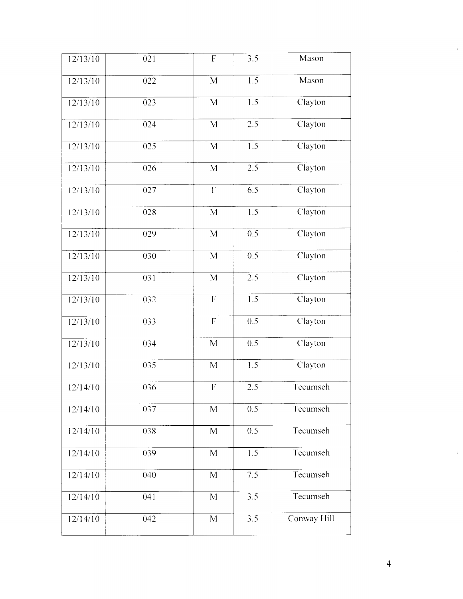| 12/13/10 | 021 | $\boldsymbol{\mathrm{F}}$ | 3.5              | Mason       |
|----------|-----|---------------------------|------------------|-------------|
| 12/13/10 | 022 | $\mathbf{M}$              | 1.5              | Mason       |
| 12/13/10 | 023 | $\mathbf M$               | $1.5\,$          | Clayton     |
| 12/13/10 | 024 | $\mathbf{M}$              | 2.5              | Clayton     |
| 12/13/10 | 025 | M                         | 1.5              | Clayton     |
| 12/13/10 | 026 | M                         | 2.5              | Clayton     |
| 12/13/10 | 027 | $\boldsymbol{\mathrm{F}}$ | 6.5              | Clayton     |
| 12/13/10 | 028 | $\overline{M}$            | 1.5              | Clayton     |
| 12/13/10 | 029 | M                         | 0.5              | Clayton     |
| 12/13/10 | 030 | $\mathbf{M}$              | 0.5              | Clayton     |
| 12/13/10 | 031 | $\overline{M}$            | 2.5              | Clayton     |
| 12/13/10 | 032 | $\mathbf{F}% _{0}$        | 1.5              | Clayton     |
| 12/13/10 | 033 | $\overline{\mathrm{F}}$   | 0.5              | Clayton     |
| 12/13/10 | 034 | M                         | 0.5              | Clayton     |
| 12/13/10 | 035 | M                         | 1.5              | Clayton     |
| 12/14/10 | 036 | $\overline{\mathrm{F}}$   | $\overline{2.5}$ | Tecumseh    |
| 12/14/10 | 037 | M                         | 0.5              | Tecumseh    |
| 12/14/10 | 038 | M                         | 0.5              | Tecumseh    |
| 12/14/10 | 039 | M                         | 1.5              | Tecumseh    |
| 12/14/10 | 040 | M                         | 7.5              | Tecumseh    |
| 12/14/10 | 041 | M                         | 3.5              | Tecumseh    |
| 12/14/10 | 042 | M                         | 3.5              | Conway Hill |
|          |     |                           |                  |             |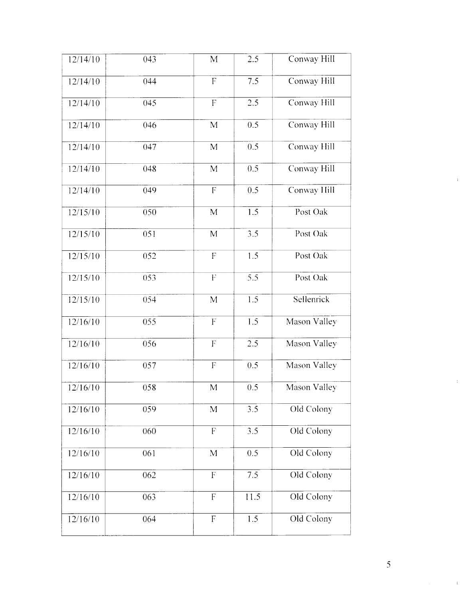| 12/14/10 | 043              | M                         | 2.5              | Conway Hill  |
|----------|------------------|---------------------------|------------------|--------------|
| 12/14/10 | 044              | $\boldsymbol{\mathrm{F}}$ | 7.5              | Conway Hill  |
| 12/14/10 | 045              | $\overline{F}$            | 2.5              | Conway Hill  |
| 12/14/10 | 046              | M                         | 0.5              | Conway Hill  |
| 12/14/10 | 047              | $\overline{M}$            | 0.5              | Conway Hill  |
| 12/14/10 | 048              | M                         | 0.5              | Conway Hill  |
| 12/14/10 | 049              | $\boldsymbol{\mathsf{F}}$ | 0.5              | Conway Hill  |
| 12/15/10 | 050              | $\overline{M}$            | 1.5              | Post Oak     |
| 12/15/10 | 051              | M                         | 3.5              | Post Oak     |
| 12/15/10 | 052              | $\overline{F}$            | 1.5              | Post Oak     |
| 12/15/10 | 053              | $\overline{F}$            | $\overline{5.5}$ | Post Oak     |
| 12/15/10 | 054              | M                         | 1.5              | Sellenrick   |
| 12/16/10 | 055              | ${\bf F}$                 | 1.5              | Mason Valley |
| 12/16/10 | 056              | $\overline{\mathrm{F}}$   | 2.5              | Mason Valley |
| 12/16/10 | 057              | $\overline{F}$            | 0.5              | Mason Valley |
| 12/16/10 | 058              | M                         | 0.5              | Mason Valley |
| 12/16/10 | 059              | M                         | 3.5              | Old Colony   |
| 12/16/10 | 060              | $\overline{F}$            | 3.5              | Old Colony   |
| 12/16/10 | 061              | $\overline{M}$            | 0.5              | Old Colony   |
| 12/16/10 | $\overline{062}$ | $\overline{F}$            | 7.5              | Old Colony   |
| 12/16/10 | 063              | $\overline{F}$            | 11.5             | Old Colony   |
| 12/16/10 | 064              | $\overline{F}$            | 1.5              | Old Colony   |

à,

 $\frac{1}{2}$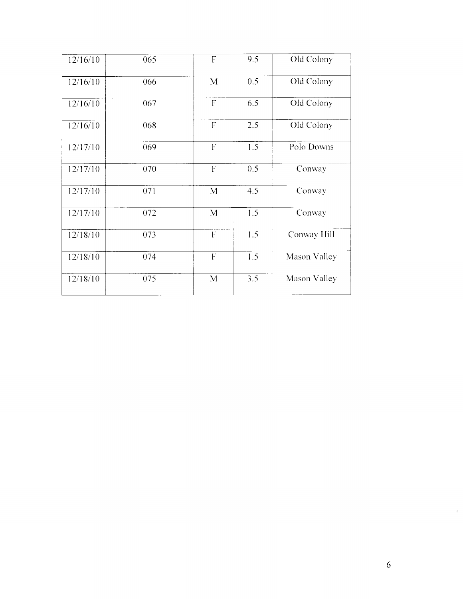| 12/16/10 | 065 | F              | 9.5 | Old Colony   |
|----------|-----|----------------|-----|--------------|
| 12/16/10 | 066 | M              | 0.5 | Old Colony   |
| 12/16/10 | 067 | $\overline{F}$ | 6.5 | Old Colony   |
| 12/16/10 | 068 | $\overline{F}$ | 2.5 | Old Colony   |
| 12/17/10 | 069 | $\overline{F}$ | 1.5 | Polo Downs   |
| 12/17/10 | 070 | $\overline{F}$ | 0.5 | Conway       |
| 12/17/10 | 071 | $\mathbf{M}$   | 4.5 | Conway       |
| 12/17/10 | 072 | M              | 1.5 | Conway       |
| 12/18/10 | 073 | $\mathbf{F}$   | 1.5 | Conway Hill  |
| 12/18/10 | 074 | ${\bf F}$      | 1.5 | Mason Valley |
| 12/18/10 | 075 | $\mathbf{M}$   | 3.5 | Mason Valley |

 $\ddot{\phantom{1}}$